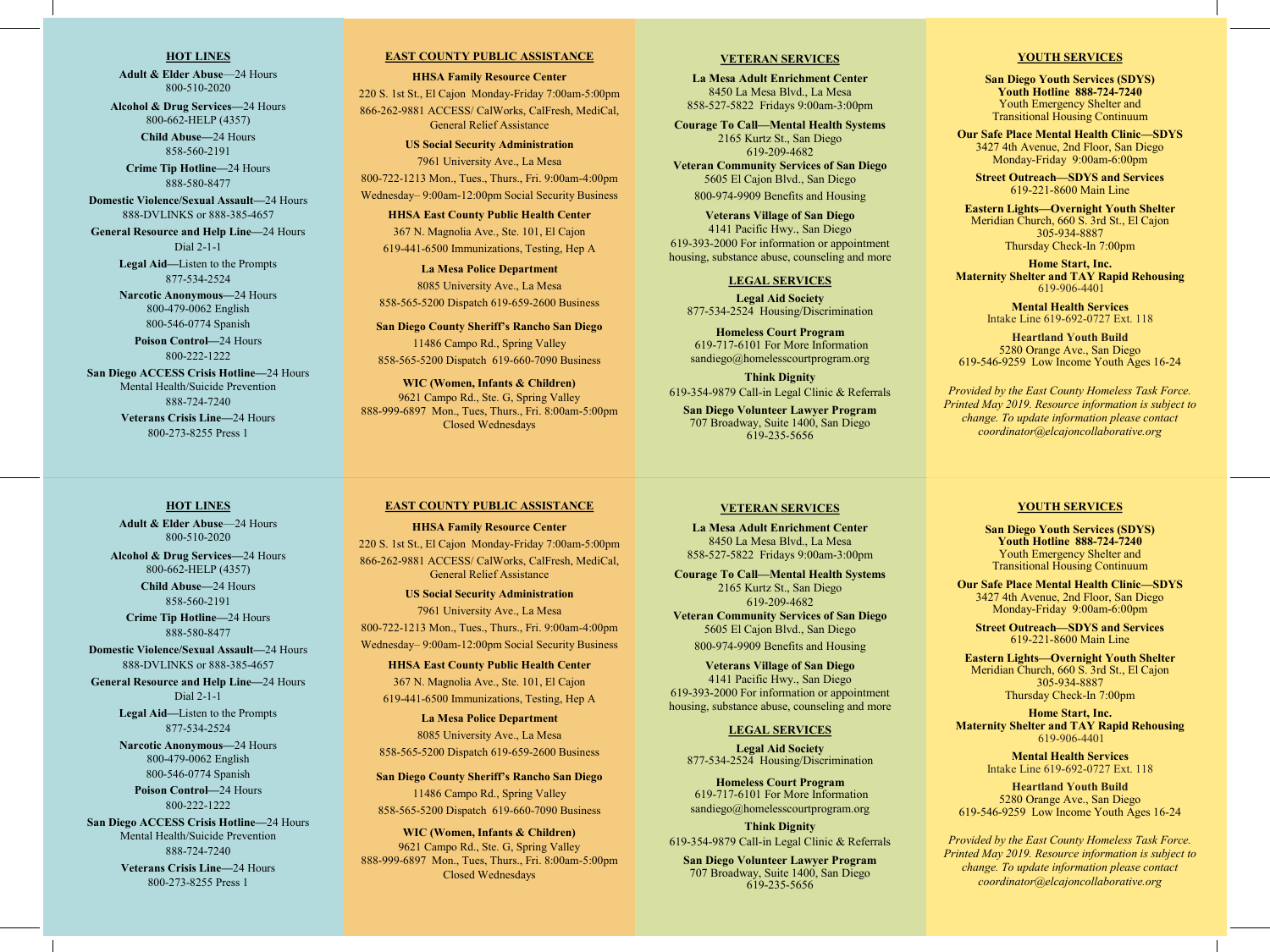# **HOT LINES**

**Adult & Elder Abuse**—24 Hours 800-510-2020

**Alcohol & Drug Services—**24 Hours 800-662-HELP (4357)

> **Child Abuse—**24 Hours 858-560-2191

**Crime Tip Hotline—**24 Hours 888-580-8477

**Domestic Violence/Sexual Assault—**24 Hours 888-DVLINKS or 888-385-4657

**General Resource and Help Line—**24 Hours Dial 2-1-1 **Legal Aid—**Listen to the Prompts

877-534-2524

**Narcotic Anonymous—**24 Hours 800-479-0062 English 800-546-0774 Spanish

**Poison Control—**24 Hours 800-222-1222

**San Diego ACCESS Crisis Hotline—**24 Hours Mental Health/Suicide Prevention 888-724-7240

> **Veterans Crisis Line—**24 Hours 800-273-8255 Press 1

# **EAST COUNTY PUBLIC ASSISTANCE**

**HHSA Family Resource Center** 220 S. 1st St., El Cajon Monday-Friday 7:00am-5:00pm 866-262-9881 ACCESS/ CalWorks, CalFresh, MediCal, General Relief Assistance

**US Social Security Administration** 7961 University Ave., La Mesa 800-722-1213 Mon., Tues., Thurs., Fri. 9:00am-4:00pm Wednesday– 9:00am-12:00pm Social Security Business

**HHSA East County Public Health Center** 367 N. Magnolia Ave., Ste. 101, El Cajon 619-441-6500 Immunizations, Testing, Hep A

**La Mesa Police Department** 8085 University Ave., La Mesa 858-565-5200 Dispatch 619-659-2600 Business

**San Diego County Sheriff's Rancho San Diego**  11486 Campo Rd., Spring Valley 858-565-5200 Dispatch 619-660-7090 Business

**WIC (Women, Infants & Children)** 9621 Campo Rd., Ste. G, Spring Valley 888-999-6897 Mon., Tues, Thurs., Fri. 8:00am-5:00pm Closed Wednesdays

# **VETERAN SERVICES**

**La Mesa Adult Enrichment Center** 8450 La Mesa Blvd., La Mesa 858-527-5822 Fridays 9:00am-3:00pm

**Courage To Call—Mental Health Systems** 2165 Kurtz St., San Diego 619-209-4682

**Veteran Community Services of San Diego** 5605 El Cajon Blvd., San Diego 800-974-9909 Benefits and Housing

**Veterans Village of San Diego** 4141 Pacific Hwy., San Diego 619-393-2000 For information or appointment housing, substance abuse, counseling and more

## **LEGAL SERVICES**

**Legal Aid Society** 877-534-2524 Housing/Discrimination

**Homeless Court Program** 619-717-6101 For More Information sandiego@homelesscourtprogram.org

**Think Dignity** 619-354-9879 Call-in Legal Clinic & Referrals

**San Diego Volunteer Lawyer Program** 707 Broadway, Suite 1400, San Diego 619-235-5656

### **YOUTH SERVICES**

**San Diego Youth Services (SDYS) Youth Hotline 888-724-7240**  Youth Emergency Shelter and Transitional Housing Continuum

**Our Safe Place Mental Health Clinic—SDYS** 3427 4th Avenue, 2nd Floor, San Diego Monday-Friday 9:00am-6:00pm

**Street Outreach—SDYS and Services** 619-221-8600 Main Line

**Eastern Lights—Overnight Youth Shelter** Meridian Church, 660 S. 3rd St., El Cajon 305-934-8887 Thursday Check-In 7:00pm

**Home Start, Inc. Maternity Shelter and TAY Rapid Rehousing** 619-906-4401

> **Mental Health Services** Intake Line 619-692-0727 Ext. 118

**Heartland Youth Build** 5280 Orange Ave., San Diego 619-546-9259 Low Income Youth Ages 16-24

*Provided by the East County Homeless Task Force. Printed May 2019. Resource information is subject to change. To update information please contact coordinator@elcajoncollaborative.org*

#### **HOT LINES**

**Adult & Elder Abuse**—24 Hours 800-510-2020

**Alcohol & Drug Services—**24 Hours 800-662-HELP (4357)

> **Child Abuse—**24 Hours 858-560-2191

**Crime Tip Hotline—**24 Hours 888-580-8477

**Domestic Violence/Sexual Assault—**24 Hours 888-DVLINKS or 888-385-4657

**General Resource and Help Line—**24 Hours Dial 2-1-1

> **Legal Aid—**Listen to the Prompts 877-534-2524

> **Narcotic Anonymous—**24 Hours 800-479-0062 English 800-546-0774 Spanish

> > **Poison Control—**24 Hours 800-222-1222

**San Diego ACCESS Crisis Hotline—**24 Hours Mental Health/Suicide Prevention 888-724-7240

> **Veterans Crisis Line—**24 Hours 800-273-8255 Press 1

# **EAST COUNTY PUBLIC ASSISTANCE**

**HHSA Family Resource Center** 220 S. 1st St., El Cajon Monday-Friday 7:00am-5:00pm 866-262-9881 ACCESS/ CalWorks, CalFresh, MediCal, General Relief Assistance

**US Social Security Administration** 7961 University Ave., La Mesa 800-722-1213 Mon., Tues., Thurs., Fri. 9:00am-4:00pm

Wednesday– 9:00am-12:00pm Social Security Business **HHSA East County Public Health Center**

367 N. Magnolia Ave., Ste. 101, El Cajon 619-441-6500 Immunizations, Testing, Hep A

**La Mesa Police Department** 8085 University Ave., La Mesa 858-565-5200 Dispatch 619-659-2600 Business

**San Diego County Sheriff's Rancho San Diego**  11486 Campo Rd., Spring Valley

858-565-5200 Dispatch 619-660-7090 Business

**WIC (Women, Infants & Children)** 9621 Campo Rd., Ste. G, Spring Valley 888-999-6897 Mon., Tues, Thurs., Fri. 8:00am-5:00pm Closed Wednesdays

#### **VETERAN SERVICES**

**La Mesa Adult Enrichment Center** 8450 La Mesa Blvd., La Mesa 858-527-5822 Fridays 9:00am-3:00pm

**Courage To Call—Mental Health Systems** 2165 Kurtz St., San Diego 619-209-4682 **Veteran Community Services of San Diego** 5605 El Cajon Blvd., San Diego

800-974-9909 Benefits and Housing

**Veterans Village of San Diego** 4141 Pacific Hwy., San Diego 619-393-2000 For information or appointment housing, substance abuse, counseling and more

#### **LEGAL SERVICES**

**Legal Aid Society** 877-534-2524 Housing/Discrimination

**Homeless Court Program** 619-717-6101 For More Information sandiego@homelesscourtprogram.org

**Think Dignity** 619-354-9879 Call-in Legal Clinic & Referrals

**San Diego Volunteer Lawyer Program** 707 Broadway, Suite 1400, San Diego 619-235-5656

#### **YOUTH SERVICES**

**San Diego Youth Services (SDYS) Youth Hotline 888-724-7240**  Youth Emergency Shelter and Transitional Housing Continuum

**Our Safe Place Mental Health Clinic—SDYS** 3427 4th Avenue, 2nd Floor, San Diego Monday-Friday 9:00am-6:00pm

**Street Outreach—SDYS and Services** 619-221-8600 Main Line

**Eastern Lights—Overnight Youth Shelter** Meridian Church, 660 S. 3rd St., El Cajon 305-934-8887 Thursday Check-In 7:00pm

**Home Start, Inc. Maternity Shelter and TAY Rapid Rehousing** 619-906-4401

> **Mental Health Services** Intake Line 619-692-0727 Ext. 118

**Heartland Youth Build** 5280 Orange Ave., San Diego 619-546-9259 Low Income Youth Ages 16-24

*Provided by the East County Homeless Task Force. Printed May 2019. Resource information is subject to change. To update information please contact coordinator@elcajoncollaborative.org*